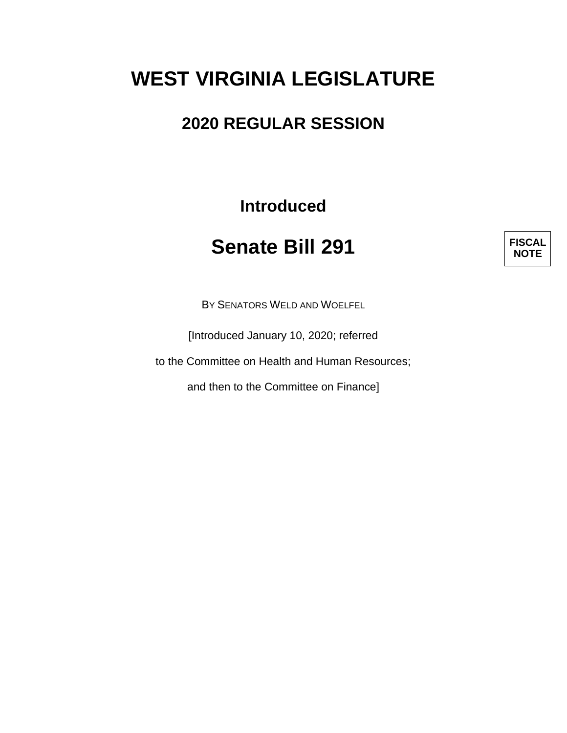# **WEST VIRGINIA LEGISLATURE**

# **2020 REGULAR SESSION**

**Introduced**

# **Senate Bill 291**

**FISCAL NOTE**

BY SENATORS WELD AND WOELFEL

[Introduced January 10, 2020; referred

to the Committee on Health and Human Resources;

and then to the Committee on Finance]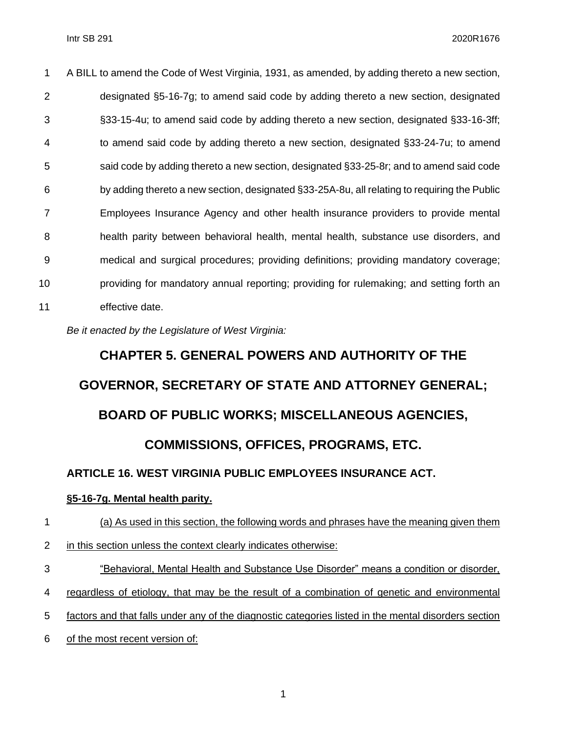A BILL to amend the Code of West Virginia, 1931, as amended, by adding thereto a new section, designated §5-16-7g; to amend said code by adding thereto a new section, designated §33-15-4u; to amend said code by adding thereto a new section, designated §33-16-3ff; to amend said code by adding thereto a new section, designated §33-24-7u; to amend said code by adding thereto a new section, designated §33-25-8r; and to amend said code by adding thereto a new section, designated §33-25A-8u, all relating to requiring the Public Employees Insurance Agency and other health insurance providers to provide mental health parity between behavioral health, mental health, substance use disorders, and medical and surgical procedures; providing definitions; providing mandatory coverage; providing for mandatory annual reporting; providing for rulemaking; and setting forth an effective date.

*Be it enacted by the Legislature of West Virginia:*

# **CHAPTER 5. GENERAL POWERS AND AUTHORITY OF THE GOVERNOR, SECRETARY OF STATE AND ATTORNEY GENERAL; BOARD OF PUBLIC WORKS; MISCELLANEOUS AGENCIES, COMMISSIONS, OFFICES, PROGRAMS, ETC. ARTICLE 16. WEST VIRGINIA PUBLIC [EMPLOYEES](http://code.wvlegislature.gov/5-16/) INSURANCE ACT.**

#### **§5-16-7g. Mental health parity.**

 (a) As used in this section, the following words and phrases have the meaning given them in this section unless the context clearly indicates otherwise: "Behavioral, Mental Health and Substance Use Disorder" means a condition or disorder,

- regardless of etiology, that may be the result of a combination of genetic and environmental
- factors and that falls under any of the diagnostic categories listed in the mental disorders section
- of the most recent version of: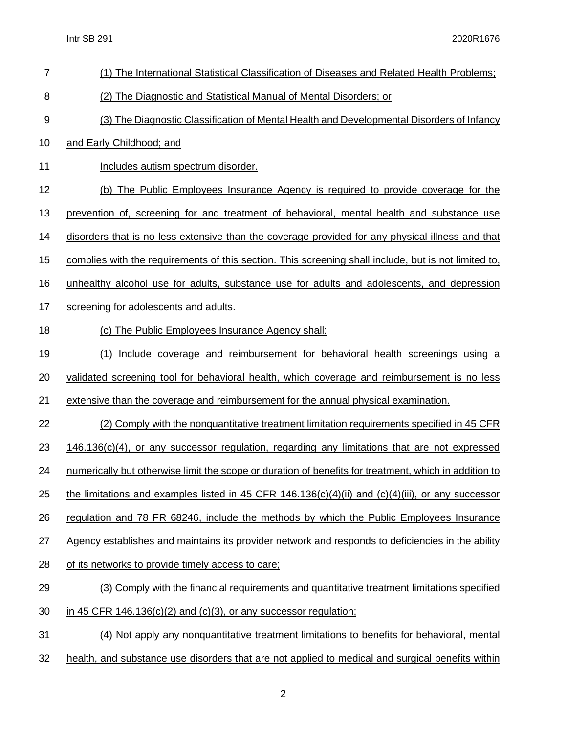| $\overline{7}$ | (1) The International Statistical Classification of Diseases and Related Health Problems;             |
|----------------|-------------------------------------------------------------------------------------------------------|
| 8              | (2) The Diagnostic and Statistical Manual of Mental Disorders; or                                     |
| 9              | (3) The Diagnostic Classification of Mental Health and Developmental Disorders of Infancy             |
| 10             | and Early Childhood; and                                                                              |
| 11             | Includes autism spectrum disorder.                                                                    |
| 12             | (b) The Public Employees Insurance Agency is required to provide coverage for the                     |
| 13             | prevention of, screening for and treatment of behavioral, mental health and substance use             |
| 14             | disorders that is no less extensive than the coverage provided for any physical illness and that      |
| 15             | complies with the requirements of this section. This screening shall include, but is not limited to,  |
| 16             | unhealthy alcohol use for adults, substance use for adults and adolescents, and depression            |
| 17             | screening for adolescents and adults.                                                                 |
| 18             | (c) The Public Employees Insurance Agency shall:                                                      |
| 19             | <u>Include coverage and reimbursement for behavioral health screenings using a</u><br>(1)             |
| 20             | validated screening tool for behavioral health, which coverage and reimbursement is no less           |
| 21             | extensive than the coverage and reimbursement for the annual physical examination.                    |
| 22             | (2) Comply with the nonquantitative treatment limitation requirements specified in 45 CFR             |
| 23             | $146.136(c)(4)$ , or any successor regulation, regarding any limitations that are not expressed       |
| 24             | numerically but otherwise limit the scope or duration of benefits for treatment, which in addition to |
| 25             | the limitations and examples listed in 45 CFR 146.136(c)(4)(ii) and (c)(4)(iii), or any successor     |
| 26             | regulation and 78 FR 68246, include the methods by which the Public Employees Insurance               |
| 27             | Agency establishes and maintains its provider network and responds to deficiencies in the ability     |
| 28             | of its networks to provide timely access to care;                                                     |
| 29             | (3) Comply with the financial requirements and quantitative treatment limitations specified           |
| 30             | in 45 CFR 146.136(c)(2) and (c)(3), or any successor regulation;                                      |
| 31             | (4) Not apply any nonquantitative treatment limitations to benefits for behavioral, mental            |
| 32             | health, and substance use disorders that are not applied to medical and surgical benefits within      |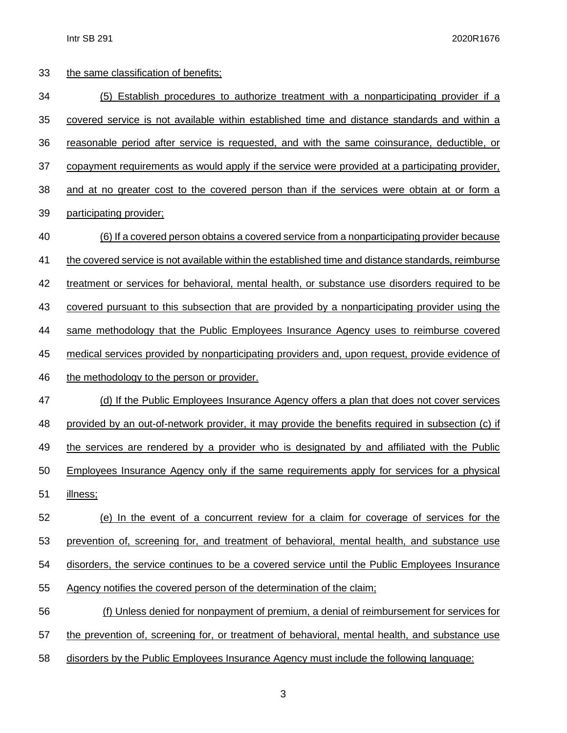| 33 | the same classification of benefits;                                                               |
|----|----------------------------------------------------------------------------------------------------|
| 34 | (5) Establish procedures to authorize treatment with a nonparticipating provider if a              |
| 35 | covered service is not available within established time and distance standards and within a       |
| 36 | reasonable period after service is requested, and with the same coinsurance, deductible, or        |
| 37 | copayment requirements as would apply if the service were provided at a participating provider.    |
| 38 | and at no greater cost to the covered person than if the services were obtain at or form a         |
| 39 | participating provider;                                                                            |
| 40 | (6) If a covered person obtains a covered service from a nonparticipating provider because         |
| 41 | the covered service is not available within the established time and distance standards, reimburse |
| 42 | treatment or services for behavioral, mental health, or substance use disorders required to be     |
| 43 | covered pursuant to this subsection that are provided by a nonparticipating provider using the     |
| 44 | same methodology that the Public Employees Insurance Agency uses to reimburse covered              |
| 45 | medical services provided by nonparticipating providers and, upon request, provide evidence of     |
| 46 | the methodology to the person or provider.                                                         |
| 47 | (d) If the Public Employees Insurance Agency offers a plan that does not cover services            |
| 48 | provided by an out-of-network provider, it may provide the benefits required in subsection (c) if  |
| 49 | the services are rendered by a provider who is designated by and affiliated with the Public        |
| 50 | Employees Insurance Agency only if the same requirements apply for services for a physical         |
| 51 | illness;                                                                                           |
| 52 | (e) In the event of a concurrent review for a claim for coverage of services for the               |
| 53 | prevention of, screening for, and treatment of behavioral, mental health, and substance use        |
| 54 | disorders, the service continues to be a covered service until the Public Employees Insurance      |
| 55 | Agency notifies the covered person of the determination of the claim;                              |
| 56 | (f) Unless denied for nonpayment of premium, a denial of reimbursement for services for            |
| 57 | the prevention of, screening for, or treatment of behavioral, mental health, and substance use     |
| 58 | disorders by the Public Employees Insurance Agency must include the following language:            |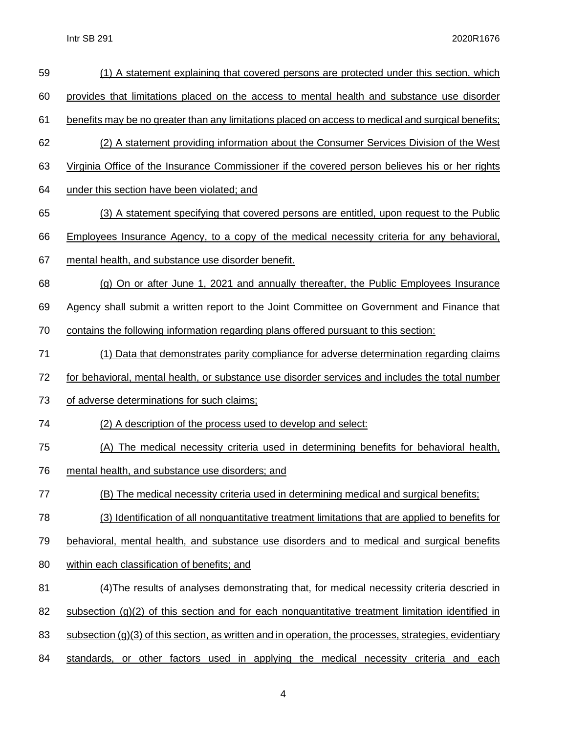| 59 | (1) A statement explaining that covered persons are protected under this section, which                  |
|----|----------------------------------------------------------------------------------------------------------|
| 60 | provides that limitations placed on the access to mental health and substance use disorder               |
| 61 | benefits may be no greater than any limitations placed on access to medical and surgical benefits;       |
| 62 | (2) A statement providing information about the Consumer Services Division of the West                   |
| 63 | Virginia Office of the Insurance Commissioner if the covered person believes his or her rights           |
| 64 | under this section have been violated; and                                                               |
| 65 | (3) A statement specifying that covered persons are entitled, upon request to the Public                 |
| 66 | <b>Employees Insurance Agency, to a copy of the medical necessity criteria for any behavioral,</b>       |
| 67 | mental health, and substance use disorder benefit.                                                       |
| 68 | (g) On or after June 1, 2021 and annually thereafter, the Public Employees Insurance                     |
| 69 | Agency shall submit a written report to the Joint Committee on Government and Finance that               |
| 70 | contains the following information regarding plans offered pursuant to this section:                     |
| 71 | (1) Data that demonstrates parity compliance for adverse determination regarding claims                  |
| 72 | for behavioral, mental health, or substance use disorder services and includes the total number          |
| 73 | of adverse determinations for such claims;                                                               |
| 74 | (2) A description of the process used to develop and select:                                             |
| 75 | (A) The medical necessity criteria used in determining benefits for behavioral health,                   |
| 76 | mental health, and substance use disorders; and                                                          |
| 77 | (B) The medical necessity criteria used in determining medical and surgical benefits;                    |
| 78 | (3) Identification of all nonquantitative treatment limitations that are applied to benefits for         |
| 79 | behavioral, mental health, and substance use disorders and to medical and surgical benefits              |
| 80 | within each classification of benefits; and                                                              |
| 81 | (4) The results of analyses demonstrating that, for medical necessity criteria descried in               |
| 82 | subsection $(g)(2)$ of this section and for each nonquantitative treatment limitation identified in      |
| 83 | subsection $(g)(3)$ of this section, as written and in operation, the processes, strategies, evidentiary |
| 84 | standards, or other factors used in applying the medical necessity criteria and each                     |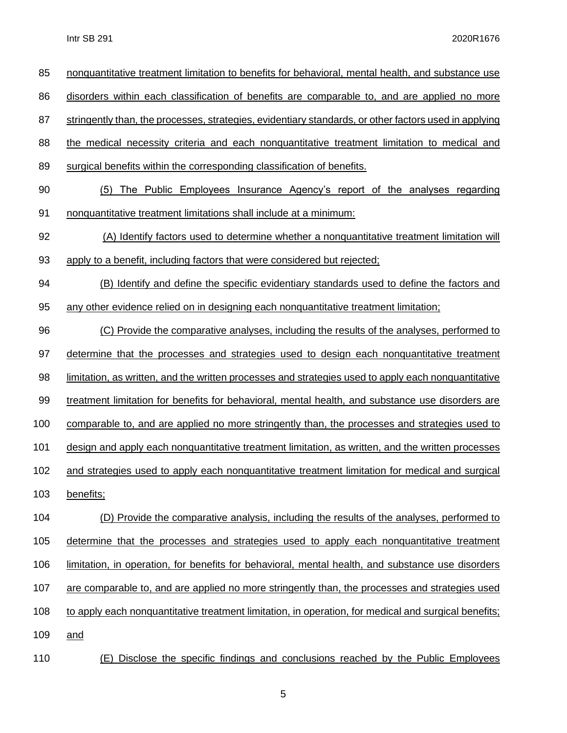| 85  | nonquantitative treatment limitation to benefits for behavioral, mental health, and substance use     |
|-----|-------------------------------------------------------------------------------------------------------|
| 86  | disorders within each classification of benefits are comparable to, and are applied no more           |
| 87  | stringently than, the processes, strategies, evidentiary standards, or other factors used in applying |
| 88  | the medical necessity criteria and each nonquantitative treatment limitation to medical and           |
| 89  | surgical benefits within the corresponding classification of benefits.                                |
| 90  | The Public Employees Insurance Agency's report of the analyses regarding<br>(5)                       |
| 91  | nonquantitative treatment limitations shall include at a minimum:                                     |
| 92  | (A) Identify factors used to determine whether a nonquantitative treatment limitation will            |
| 93  | apply to a benefit, including factors that were considered but rejected;                              |
| 94  | (B) Identify and define the specific evidentiary standards used to define the factors and             |
| 95  | any other evidence relied on in designing each nonquantitative treatment limitation;                  |
| 96  | (C) Provide the comparative analyses, including the results of the analyses, performed to             |
| 97  | determine that the processes and strategies used to design each nonquantitative treatment             |
| 98  | limitation, as written, and the written processes and strategies used to apply each nonquantitative   |
| 99  | treatment limitation for benefits for behavioral, mental health, and substance use disorders are      |
| 100 | comparable to, and are applied no more stringently than, the processes and strategies used to         |
| 101 | design and apply each nonquantitative treatment limitation, as written, and the written processes     |
| 102 | and strategies used to apply each nonquantitative treatment limitation for medical and surgical       |
| 103 | benefits;                                                                                             |
| 104 | (D) Provide the comparative analysis, including the results of the analyses, performed to             |
| 105 | determine that the processes and strategies used to apply each nonquantitative treatment              |
| 106 | limitation, in operation, for benefits for behavioral, mental health, and substance use disorders     |
| 107 | are comparable to, and are applied no more stringently than, the processes and strategies used        |
| 108 | to apply each nonquantitative treatment limitation, in operation, for medical and surgical benefits;  |
| 109 | <u>and</u>                                                                                            |
| 110 | (E) Disclose the specific findings and conclusions reached by the Public Employees                    |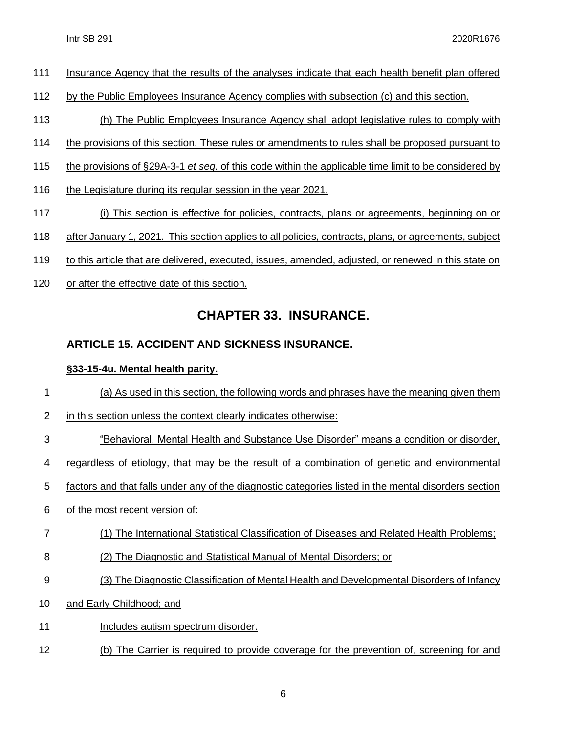- Insurance Agency that the results of the analyses indicate that each health benefit plan offered
- 112 by the Public Employees Insurance Agency complies with subsection (c) and this section.
- (h) The Public Employees Insurance Agency shall adopt legislative rules to comply with
- the provisions of this section. These rules or amendments to rules shall be proposed pursuant to
- the provisions of §29A-3-1 *et seq.* of this code within the applicable time limit to be considered by
- 116 the Legislature during its regular session in the year 2021.
- (i) This section is effective for policies, contracts, plans or agreements, beginning on or
- after January 1, 2021. This section applies to all policies, contracts, plans, or agreements, subject
- to this article that are delivered, executed, issues, amended, adjusted, or renewed in this state on
- or after the effective date of this section.

## **CHAPTER 33. INSURANCE.**

### **ARTICLE 15. ACCIDENT AND SICKNESS [INSURANCE.](http://code.wvlegislature.gov/33-15/)**

#### **§33-15-4u. Mental health parity.**

- (a) As used in this section, the following words and phrases have the meaning given them
- 2 in this section unless the context clearly indicates otherwise:
- "Behavioral, Mental Health and Substance Use Disorder" means a condition or disorder,
- 4 regardless of etiology, that may be the result of a combination of genetic and environmental
- factors and that falls under any of the diagnostic categories listed in the mental disorders section
- of the most recent version of:
- (1) The International Statistical Classification of Diseases and Related Health Problems;
- (2) The Diagnostic and Statistical Manual of Mental Disorders; or
- (3) The Diagnostic Classification of Mental Health and Developmental Disorders of Infancy
- and Early Childhood; and
- 11 Includes autism spectrum disorder.
- (b) The Carrier is required to provide coverage for the prevention of, screening for and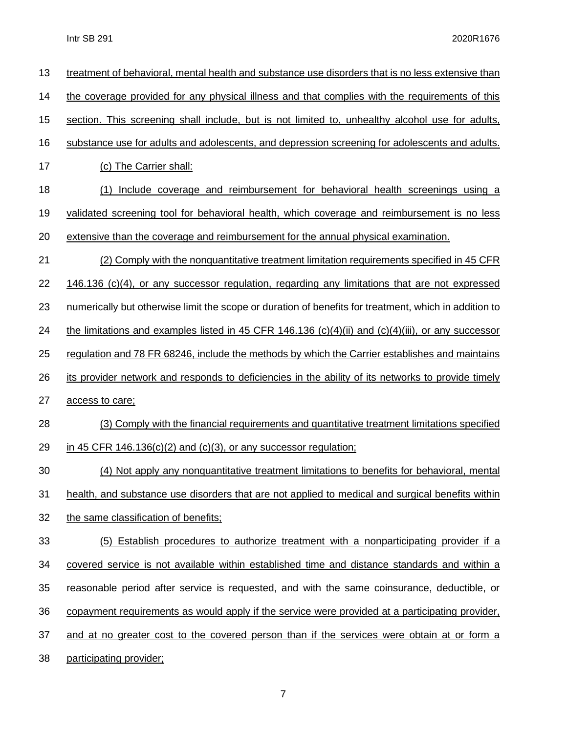| 13 | treatment of behavioral, mental health and substance use disorders that is no less extensive than     |
|----|-------------------------------------------------------------------------------------------------------|
| 14 | the coverage provided for any physical illness and that complies with the requirements of this        |
| 15 | section. This screening shall include, but is not limited to, unhealthy alcohol use for adults,       |
| 16 | substance use for adults and adolescents, and depression screening for adolescents and adults.        |
| 17 | (c) The Carrier shall:                                                                                |
| 18 | Include coverage and reimbursement for behavioral health screenings using a<br>(1)                    |
| 19 | validated screening tool for behavioral health, which coverage and reimbursement is no less           |
| 20 | extensive than the coverage and reimbursement for the annual physical examination.                    |
| 21 | (2) Comply with the nonquantitative treatment limitation requirements specified in 45 CFR             |
| 22 | $146.136$ (c)(4), or any successor regulation, regarding any limitations that are not expressed       |
| 23 | numerically but otherwise limit the scope or duration of benefits for treatment, which in addition to |
| 24 | the limitations and examples listed in 45 CFR 146.136 (c)(4)(ii) and (c)(4)(iii), or any successor    |
| 25 | requiation and 78 FR 68246, include the methods by which the Carrier establishes and maintains        |
| 26 | its provider network and responds to deficiencies in the ability of its networks to provide timely    |
| 27 | access to care;                                                                                       |
| 28 | (3) Comply with the financial requirements and quantitative treatment limitations specified           |
| 29 | in 45 CFR $146.136(c)(2)$ and $(c)(3)$ , or any successor regulation;                                 |
| 30 | (4) Not apply any nonquantitative treatment limitations to benefits for behavioral, mental            |
| 31 | health, and substance use disorders that are not applied to medical and surgical benefits within      |
| 32 | the same classification of benefits;                                                                  |
| 33 | (5) Establish procedures to authorize treatment with a nonparticipating provider if a                 |
| 34 | covered service is not available within established time and distance standards and within a          |
| 35 | reasonable period after service is requested, and with the same coinsurance, deductible, or           |
| 36 | copayment requirements as would apply if the service were provided at a participating provider,       |
| 37 | and at no greater cost to the covered person than if the services were obtain at or form a            |
| 38 | participating provider;                                                                               |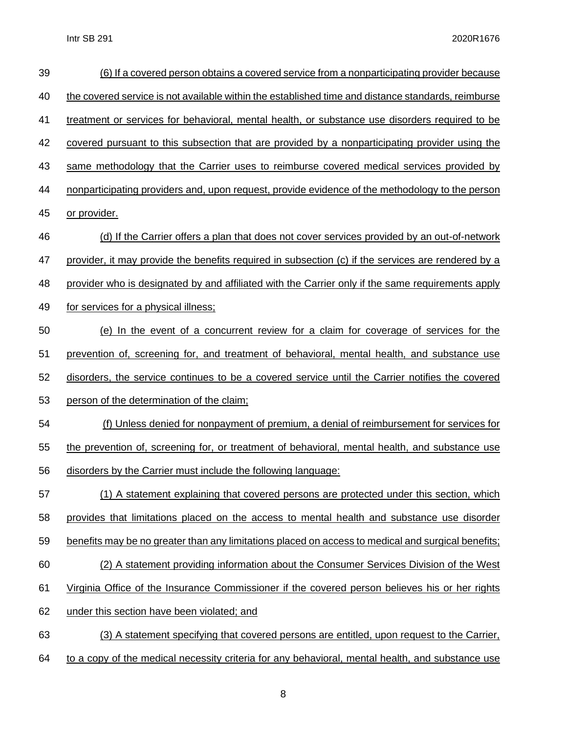| 39 | (6) If a covered person obtains a covered service from a nonparticipating provider because         |
|----|----------------------------------------------------------------------------------------------------|
| 40 | the covered service is not available within the established time and distance standards, reimburse |
| 41 | treatment or services for behavioral, mental health, or substance use disorders required to be     |
| 42 | covered pursuant to this subsection that are provided by a nonparticipating provider using the     |
| 43 | same methodology that the Carrier uses to reimburse covered medical services provided by           |
| 44 | nonparticipating providers and, upon request, provide evidence of the methodology to the person    |
| 45 | or provider.                                                                                       |
| 46 | (d) If the Carrier offers a plan that does not cover services provided by an out-of-network        |
| 47 | provider, it may provide the benefits required in subsection (c) if the services are rendered by a |
| 48 | provider who is designated by and affiliated with the Carrier only if the same requirements apply  |
| 49 | for services for a physical illness;                                                               |
| 50 | (e) In the event of a concurrent review for a claim for coverage of services for the               |
| 51 | prevention of, screening for, and treatment of behavioral, mental health, and substance use        |
| 52 | disorders, the service continues to be a covered service until the Carrier notifies the covered    |
| 53 | person of the determination of the claim;                                                          |
| 54 | (f) Unless denied for nonpayment of premium, a denial of reimbursement for services for            |
| 55 | the prevention of, screening for, or treatment of behavioral, mental health, and substance use     |
| 56 | disorders by the Carrier must include the following language:                                      |
| 57 | (1) A statement explaining that covered persons are protected under this section, which            |
| 58 | provides that limitations placed on the access to mental health and substance use disorder         |
| 59 | benefits may be no greater than any limitations placed on access to medical and surgical benefits; |
| 60 | (2) A statement providing information about the Consumer Services Division of the West             |
| 61 | Virginia Office of the Insurance Commissioner if the covered person believes his or her rights     |
| 62 | under this section have been violated; and                                                         |
| 63 | (3) A statement specifying that covered persons are entitled, upon request to the Carrier,         |
| 64 | to a copy of the medical necessity criteria for any behavioral, mental health, and substance use   |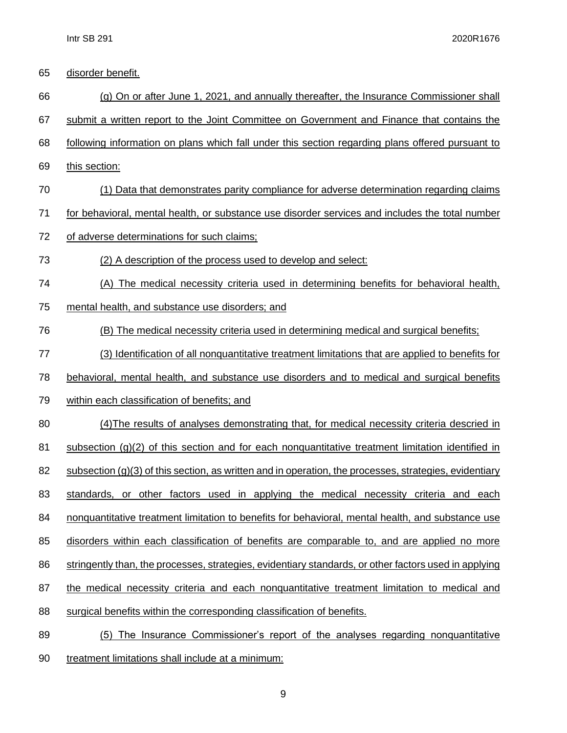| 65 | disorder benefit.                                                                                        |
|----|----------------------------------------------------------------------------------------------------------|
| 66 | (g) On or after June 1, 2021, and annually thereafter, the Insurance Commissioner shall                  |
| 67 | submit a written report to the Joint Committee on Government and Finance that contains the               |
| 68 | following information on plans which fall under this section regarding plans offered pursuant to         |
| 69 | this section:                                                                                            |
| 70 | (1) Data that demonstrates parity compliance for adverse determination regarding claims                  |
| 71 | for behavioral, mental health, or substance use disorder services and includes the total number          |
| 72 | of adverse determinations for such claims;                                                               |
| 73 | (2) A description of the process used to develop and select:                                             |
| 74 | (A) The medical necessity criteria used in determining benefits for behavioral health,                   |
| 75 | mental health, and substance use disorders; and                                                          |
| 76 | (B) The medical necessity criteria used in determining medical and surgical benefits;                    |
| 77 | (3) Identification of all nonquantitative treatment limitations that are applied to benefits for         |
| 78 | behavioral, mental health, and substance use disorders and to medical and surgical benefits              |
| 79 | within each classification of benefits; and                                                              |
| 80 | (4) The results of analyses demonstrating that, for medical necessity criteria descried in               |
| 81 | subsection $(g)(2)$ of this section and for each nonquantitative treatment limitation identified in      |
| 82 | subsection $(g)(3)$ of this section, as written and in operation, the processes, strategies, evidentiary |
| 83 | standards, or other factors used in applying the medical necessity criteria and each                     |
| 84 | nonquantitative treatment limitation to benefits for behavioral, mental health, and substance use        |
| 85 | disorders within each classification of benefits are comparable to, and are applied no more              |
| 86 | stringently than, the processes, strategies, evidentiary standards, or other factors used in applying    |
| 87 | the medical necessity criteria and each nonquantitative treatment limitation to medical and              |
| 88 | surgical benefits within the corresponding classification of benefits.                                   |
| 89 | (5) The Insurance Commissioner's report of the analyses regarding nonquantitative                        |
|    |                                                                                                          |

90 treatment limitations shall include at a minimum: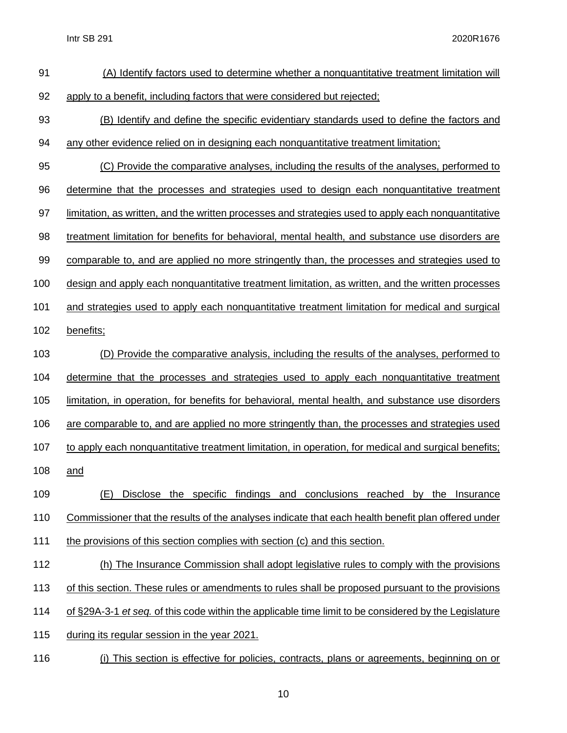| 91  | (A) Identify factors used to determine whether a nonquantitative treatment limitation will            |
|-----|-------------------------------------------------------------------------------------------------------|
| 92  | apply to a benefit, including factors that were considered but rejected;                              |
| 93  | (B) Identify and define the specific evidentiary standards used to define the factors and             |
| 94  | any other evidence relied on in designing each nonquantitative treatment limitation;                  |
| 95  | (C) Provide the comparative analyses, including the results of the analyses, performed to             |
| 96  | determine that the processes and strategies used to design each nonquantitative treatment             |
| 97  | limitation, as written, and the written processes and strategies used to apply each nonquantitative   |
| 98  | treatment limitation for benefits for behavioral, mental health, and substance use disorders are      |
| 99  | comparable to, and are applied no more stringently than, the processes and strategies used to         |
| 100 | design and apply each nonquantitative treatment limitation, as written, and the written processes     |
| 101 | and strategies used to apply each nonquantitative treatment limitation for medical and surgical       |
| 102 | benefits;                                                                                             |
| 103 | (D) Provide the comparative analysis, including the results of the analyses, performed to             |
| 104 | determine that the processes and strategies used to apply each nonquantitative treatment              |
| 105 | limitation, in operation, for benefits for behavioral, mental health, and substance use disorders     |
| 106 | are comparable to, and are applied no more stringently than, the processes and strategies used        |
| 107 | to apply each nonquantitative treatment limitation, in operation, for medical and surgical benefits;  |
| 108 | and                                                                                                   |
| 109 | Disclose the specific findings and conclusions reached by the Insurance<br>(E)                        |
| 110 | Commissioner that the results of the analyses indicate that each health benefit plan offered under    |
| 111 | the provisions of this section complies with section (c) and this section.                            |
| 112 | (h) The Insurance Commission shall adopt legislative rules to comply with the provisions              |
| 113 | of this section. These rules or amendments to rules shall be proposed pursuant to the provisions      |
| 114 | of §29A-3-1 et seq. of this code within the applicable time limit to be considered by the Legislature |
| 115 | during its regular session in the year 2021.                                                          |
| 116 | This section is effective for policies, contracts, plans or agreements, beginning on or<br>(i)        |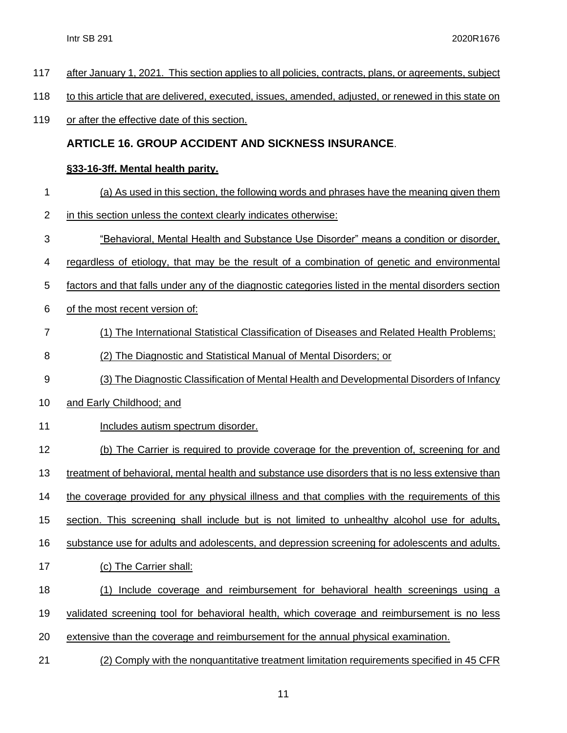after January 1, 2021. This section applies to all policies, contracts, plans, or agreements, subject to this article that are delivered, executed, issues, amended, adjusted, or renewed in this state on or after the effective date of this section. **ARTICLE 16. GROUP ACCIDENT AND SICKNESS [INSURANCE](http://code.wvlegislature.gov/33-16/)**. **§33-16-3ff. Mental health parity.** (a) As used in this section, the following words and phrases have the meaning given them in this section unless the context clearly indicates otherwise: "Behavioral, Mental Health and Substance Use Disorder" means a condition or disorder, regardless of etiology, that may be the result of a combination of genetic and environmental factors and that falls under any of the diagnostic categories listed in the mental disorders section of the most recent version of: (1) The International Statistical Classification of Diseases and Related Health Problems; (2) The Diagnostic and Statistical Manual of Mental Disorders; or (3) The Diagnostic Classification of Mental Health and Developmental Disorders of Infancy and Early Childhood; and 11 Includes autism spectrum disorder. (b) The Carrier is required to provide coverage for the prevention of, screening for and treatment of behavioral, mental health and substance use disorders that is no less extensive than the coverage provided for any physical illness and that complies with the requirements of this section. This screening shall include but is not limited to unhealthy alcohol use for adults, substance use for adults and adolescents, and depression screening for adolescents and adults. (c) The Carrier shall: (1) Include coverage and reimbursement for behavioral health screenings using a validated screening tool for behavioral health, which coverage and reimbursement is no less extensive than the coverage and reimbursement for the annual physical examination. (2) Comply with the nonquantitative treatment limitation requirements specified in 45 CFR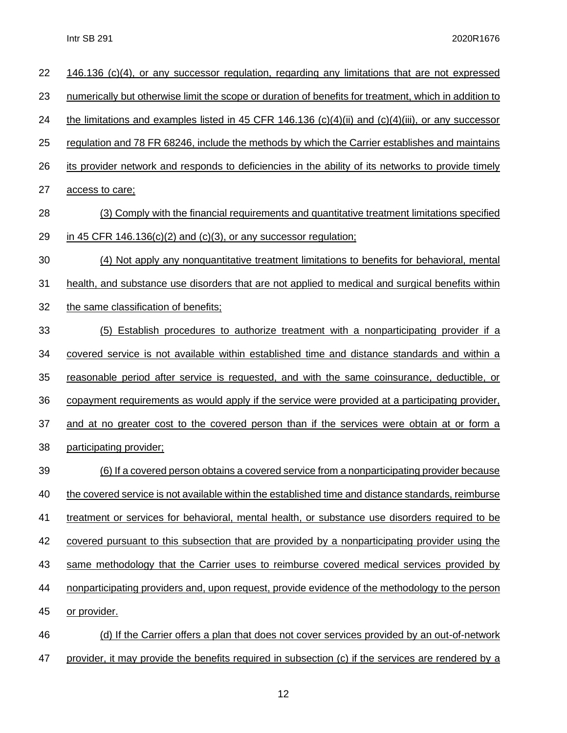| 22 | 146.136 (c)(4), or any successor regulation, regarding any limitations that are not expressed         |
|----|-------------------------------------------------------------------------------------------------------|
| 23 | numerically but otherwise limit the scope or duration of benefits for treatment, which in addition to |
| 24 | the limitations and examples listed in 45 CFR 146.136 (c)(4)(ii) and (c)(4)(iii), or any successor    |
| 25 | regulation and 78 FR 68246, include the methods by which the Carrier establishes and maintains        |
| 26 | its provider network and responds to deficiencies in the ability of its networks to provide timely    |
| 27 | access to care;                                                                                       |
| 28 | (3) Comply with the financial requirements and quantitative treatment limitations specified           |
| 29 | in 45 CFR 146.136(c)(2) and (c)(3), or any successor regulation;                                      |
| 30 | (4) Not apply any nonquantitative treatment limitations to benefits for behavioral, mental            |
| 31 | health, and substance use disorders that are not applied to medical and surgical benefits within      |
| 32 | the same classification of benefits:                                                                  |
| 33 | (5) Establish procedures to authorize treatment with a nonparticipating provider if a                 |
| 34 | covered service is not available within established time and distance standards and within a          |
| 35 | reasonable period after service is requested, and with the same coinsurance, deductible, or           |
| 36 | copayment requirements as would apply if the service were provided at a participating provider,       |
| 37 | and at no greater cost to the covered person than if the services were obtain at or form a            |
| 38 | participating provider;                                                                               |
| 39 | (6) If a covered person obtains a covered service from a nonparticipating provider because            |
| 40 | the covered service is not available within the established time and distance standards, reimburse    |
| 41 | treatment or services for behavioral, mental health, or substance use disorders required to be        |
| 42 | covered pursuant to this subsection that are provided by a nonparticipating provider using the        |
| 43 | same methodology that the Carrier uses to reimburse covered medical services provided by              |
| 44 | nonparticipating providers and, upon request, provide evidence of the methodology to the person       |
| 45 | or provider.                                                                                          |
| 46 | (d) If the Carrier offers a plan that does not cover services provided by an out-of-network           |

47 provider, it may provide the benefits required in subsection (c) if the services are rendered by a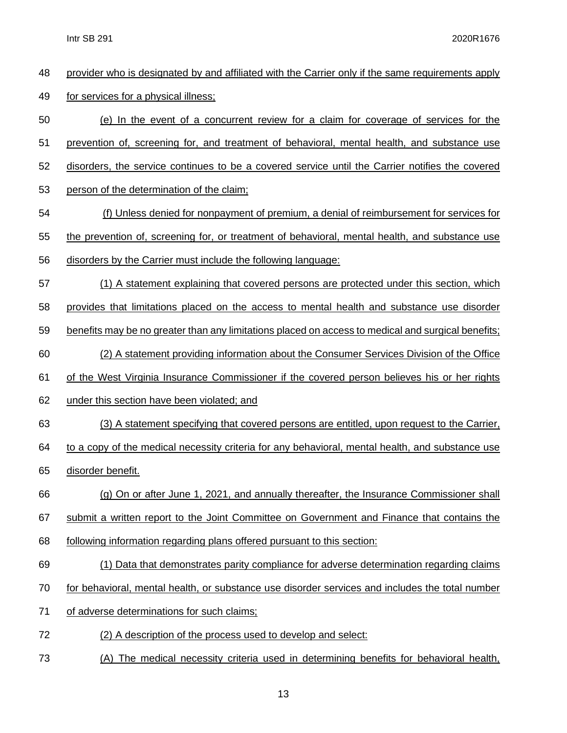provider who is designated by and affiliated with the Carrier only if the same requirements apply for services for a physical illness; (e) In the event of a concurrent review for a claim for coverage of services for the prevention of, screening for, and treatment of behavioral, mental health, and substance use disorders, the service continues to be a covered service until the Carrier notifies the covered person of the determination of the claim; (f) Unless denied for nonpayment of premium, a denial of reimbursement for services for the prevention of, screening for, or treatment of behavioral, mental health, and substance use disorders by the Carrier must include the following language: (1) A statement explaining that covered persons are protected under this section, which provides that limitations placed on the access to mental health and substance use disorder benefits may be no greater than any limitations placed on access to medical and surgical benefits; (2) A statement providing information about the Consumer Services Division of the Office of the West Virginia Insurance Commissioner if the covered person believes his or her rights under this section have been violated; and (3) A statement specifying that covered persons are entitled, upon request to the Carrier, 64 to a copy of the medical necessity criteria for any behavioral, mental health, and substance use disorder benefit. (g) On or after June 1, 2021, and annually thereafter, the Insurance Commissioner shall submit a written report to the Joint Committee on Government and Finance that contains the following information regarding plans offered pursuant to this section: (1) Data that demonstrates parity compliance for adverse determination regarding claims for behavioral, mental health, or substance use disorder services and includes the total number of adverse determinations for such claims; (2) A description of the process used to develop and select: (A) The medical necessity criteria used in determining benefits for behavioral health,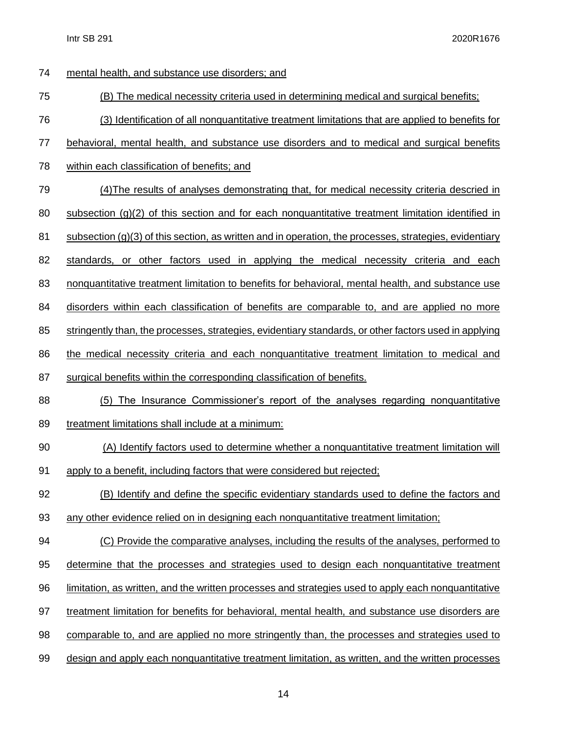| 74 | mental health, and substance use disorders; and                                                          |
|----|----------------------------------------------------------------------------------------------------------|
| 75 | (B) The medical necessity criteria used in determining medical and surgical benefits;                    |
| 76 | (3) Identification of all nonquantitative treatment limitations that are applied to benefits for         |
| 77 | behavioral, mental health, and substance use disorders and to medical and surgical benefits              |
| 78 | within each classification of benefits; and                                                              |
| 79 | (4) The results of analyses demonstrating that, for medical necessity criteria descried in               |
| 80 | subsection $(g)(2)$ of this section and for each nonquantitative treatment limitation identified in      |
| 81 | $subsection (g)(3)$ of this section, as written and in operation, the processes, strategies, evidentiary |
| 82 | standards, or other factors used in applying the medical necessity criteria and each                     |
| 83 | nonquantitative treatment limitation to benefits for behavioral, mental health, and substance use        |
| 84 | disorders within each classification of benefits are comparable to, and are applied no more              |
| 85 | stringently than, the processes, strategies, evidentiary standards, or other factors used in applying    |
| 86 | the medical necessity criteria and each nonquantitative treatment limitation to medical and              |
| 87 | surgical benefits within the corresponding classification of benefits.                                   |
| 88 | (5) The Insurance Commissioner's report of the analyses regarding nonquantitative                        |
| 89 | treatment limitations shall include at a minimum:                                                        |
| 90 | (A) Identify factors used to determine whether a nonquantitative treatment limitation will               |
| 91 | apply to a benefit, including factors that were considered but rejected;                                 |
| 92 | (B) Identify and define the specific evidentiary standards used to define the factors and                |
| 93 | any other evidence relied on in designing each nonquantitative treatment limitation;                     |
| 94 | (C) Provide the comparative analyses, including the results of the analyses, performed to                |
| 95 | determine that the processes and strategies used to design each nonquantitative treatment                |
| 96 | limitation, as written, and the written processes and strategies used to apply each nonquantitative      |
| 97 | treatment limitation for benefits for behavioral, mental health, and substance use disorders are         |
| 98 | comparable to, and are applied no more stringently than, the processes and strategies used to            |
| 99 | design and apply each nonquantitative treatment limitation, as written, and the written processes        |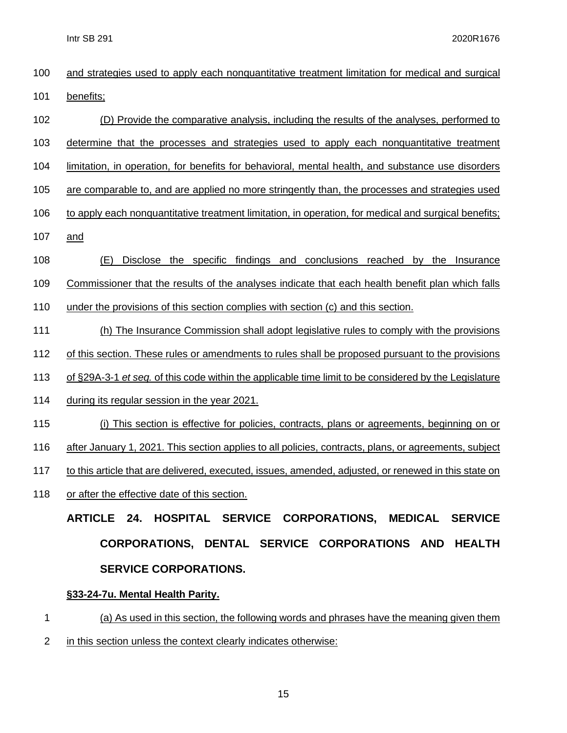| 100 | and strategies used to apply each nonquantitative treatment limitation for medical and surgical       |
|-----|-------------------------------------------------------------------------------------------------------|
| 101 | benefits;                                                                                             |
| 102 | (D) Provide the comparative analysis, including the results of the analyses, performed to             |
| 103 | determine that the processes and strategies used to apply each nonquantitative treatment              |
| 104 | limitation, in operation, for benefits for behavioral, mental health, and substance use disorders     |
| 105 | are comparable to, and are applied no more stringently than, the processes and strategies used        |
| 106 | to apply each nonquantitative treatment limitation, in operation, for medical and surgical benefits;  |
| 107 | and                                                                                                   |
| 108 | Disclose the specific findings and conclusions reached by the Insurance<br>(E)                        |
| 109 | Commissioner that the results of the analyses indicate that each health benefit plan which falls      |
| 110 | under the provisions of this section complies with section (c) and this section.                      |
| 111 | (h) The Insurance Commission shall adopt legislative rules to comply with the provisions              |
| 112 | of this section. These rules or amendments to rules shall be proposed pursuant to the provisions      |
| 113 | of §29A-3-1 et seq. of this code within the applicable time limit to be considered by the Legislature |
| 114 | during its regular session in the year 2021.                                                          |
| 115 | (i) This section is effective for policies, contracts, plans or agreements, beginning on or           |
| 116 | after January 1, 2021. This section applies to all policies, contracts, plans, or agreements, subject |
| 117 | to this article that are delivered, executed, issues, amended, adjusted, or renewed in this state on  |
| 118 | or after the effective date of this section.                                                          |
|     | ARTICLE 24.<br><b>HOSPITAL SERVICE</b><br><b>CORPORATIONS, MEDICAL</b><br><b>SERVICE</b>              |
|     | DENTAL SERVICE CORPORATIONS AND HEALTH<br><b>CORPORATIONS,</b>                                        |

# **SERVICE [CORPORATIONS.](http://code.wvlegislature.gov/33-24/)**

### **§33-24-7u. Mental Health Parity.**

- 1 (a) As used in this section, the following words and phrases have the meaning given them
- 2 in this section unless the context clearly indicates otherwise: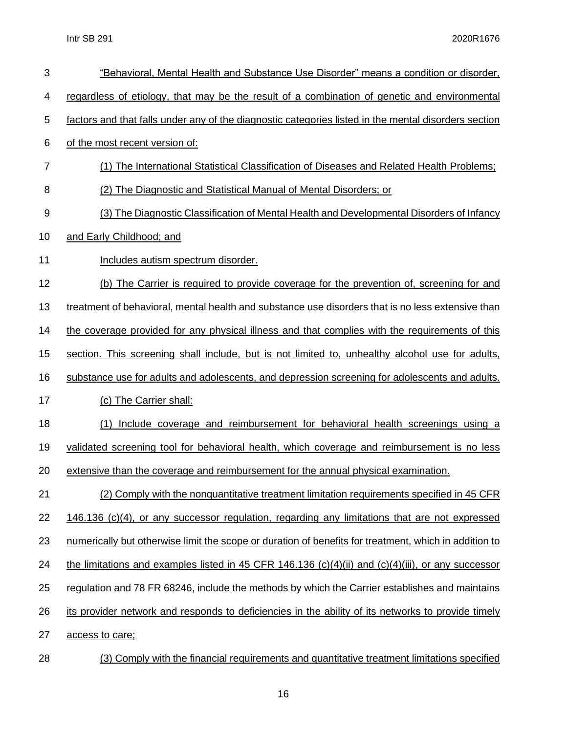| 3  | "Behavioral, Mental Health and Substance Use Disorder" means a condition or disorder,                 |
|----|-------------------------------------------------------------------------------------------------------|
| 4  | regardless of etiology, that may be the result of a combination of genetic and environmental          |
| 5  | factors and that falls under any of the diagnostic categories listed in the mental disorders section  |
| 6  | of the most recent version of:                                                                        |
| 7  | (1) The International Statistical Classification of Diseases and Related Health Problems;             |
| 8  | (2) The Diagnostic and Statistical Manual of Mental Disorders; or                                     |
| 9  | (3) The Diagnostic Classification of Mental Health and Developmental Disorders of Infancy             |
| 10 | and Early Childhood; and                                                                              |
| 11 | Includes autism spectrum disorder.                                                                    |
| 12 | (b) The Carrier is required to provide coverage for the prevention of, screening for and              |
| 13 | treatment of behavioral, mental health and substance use disorders that is no less extensive than     |
| 14 | the coverage provided for any physical illness and that complies with the requirements of this        |
| 15 | section. This screening shall include, but is not limited to, unhealthy alcohol use for adults,       |
| 16 | substance use for adults and adolescents, and depression screening for adolescents and adults.        |
| 17 | (c) The Carrier shall:                                                                                |
| 18 | (1) Include coverage and reimbursement for behavioral health screenings using a                       |
| 19 | validated screening tool for behavioral health, which coverage and reimbursement is no less           |
| 20 | extensive than the coverage and reimbursement for the annual physical examination.                    |
| 21 | (2) Comply with the nonquantitative treatment limitation requirements specified in 45 CFR             |
| 22 | 146.136 (c)(4), or any successor regulation, regarding any limitations that are not expressed         |
| 23 | numerically but otherwise limit the scope or duration of benefits for treatment, which in addition to |
| 24 | the limitations and examples listed in 45 CFR 146.136 (c)(4)(ii) and (c)(4)(iii), or any successor    |
| 25 | regulation and 78 FR 68246, include the methods by which the Carrier establishes and maintains        |
| 26 | its provider network and responds to deficiencies in the ability of its networks to provide timely    |
| 27 | access to care;                                                                                       |
| 28 | (3) Comply with the financial requirements and quantitative treatment limitations specified           |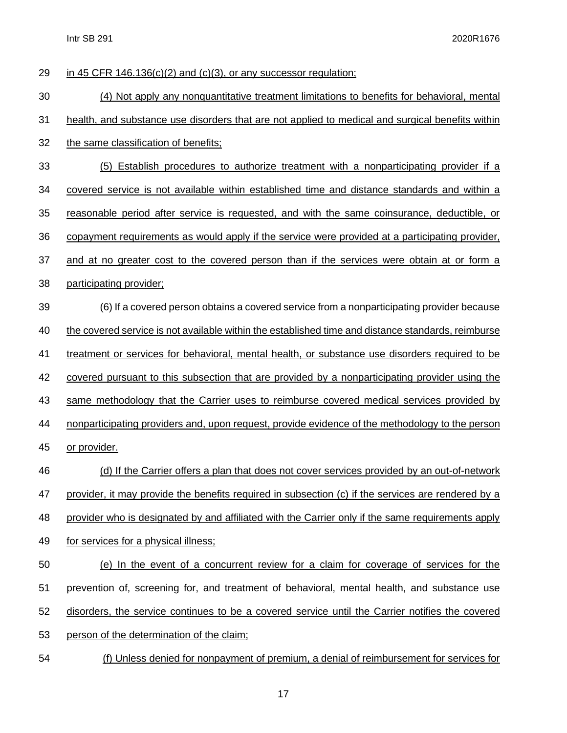| 29 | in 45 CFR 146.136(c)(2) and (c)(3), or any successor regulation;                                   |
|----|----------------------------------------------------------------------------------------------------|
| 30 | (4) Not apply any nonquantitative treatment limitations to benefits for behavioral, mental         |
| 31 | health, and substance use disorders that are not applied to medical and surgical benefits within   |
| 32 | the same classification of benefits;                                                               |
| 33 | (5) Establish procedures to authorize treatment with a nonparticipating provider if a              |
| 34 | covered service is not available within established time and distance standards and within a       |
| 35 | reasonable period after service is requested, and with the same coinsurance, deductible, or        |
| 36 | copayment requirements as would apply if the service were provided at a participating provider,    |
| 37 | and at no greater cost to the covered person than if the services were obtain at or form a         |
| 38 | participating provider;                                                                            |
| 39 | <u>(6) If a covered person obtains a covered service from a nonparticipating provider because</u>  |
| 40 | the covered service is not available within the established time and distance standards, reimburse |
| 41 | treatment or services for behavioral, mental health, or substance use disorders required to be     |
| 42 | covered pursuant to this subsection that are provided by a nonparticipating provider using the     |
| 43 | same methodology that the Carrier uses to reimburse covered medical services provided by           |
| 44 | nonparticipating providers and, upon request, provide evidence of the methodology to the person    |
| 45 | or provider.                                                                                       |
| 46 | (d) If the Carrier offers a plan that does not cover services provided by an out-of-network        |
| 47 | provider, it may provide the benefits required in subsection (c) if the services are rendered by a |
| 48 | provider who is designated by and affiliated with the Carrier only if the same requirements apply  |
| 49 | for services for a physical illness;                                                               |
| 50 | (e) In the event of a concurrent review for a claim for coverage of services for the               |
| 51 | prevention of, screening for, and treatment of behavioral, mental health, and substance use        |
| 52 | disorders, the service continues to be a covered service until the Carrier notifies the covered    |
| 53 | person of the determination of the claim;                                                          |
|    |                                                                                                    |

(f) Unless denied for nonpayment of premium, a denial of reimbursement for services for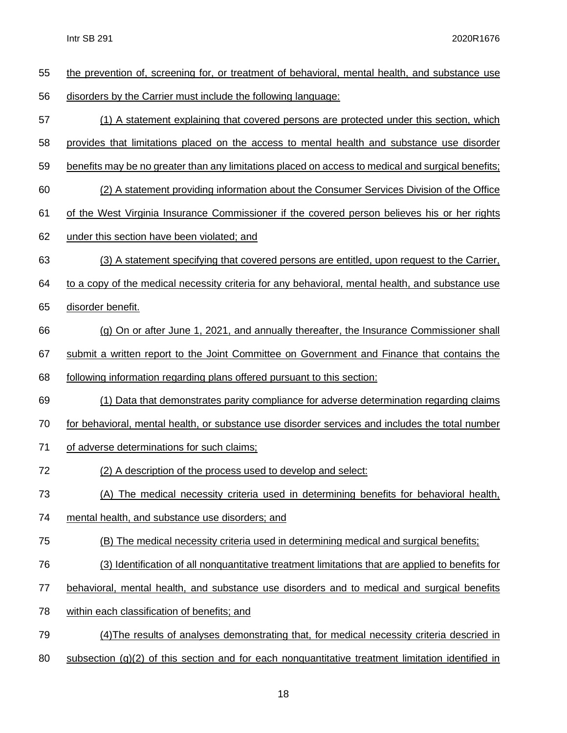| 55 | the prevention of, screening for, or treatment of behavioral, mental health, and substance use     |
|----|----------------------------------------------------------------------------------------------------|
| 56 | disorders by the Carrier must include the following language:                                      |
| 57 | (1) A statement explaining that covered persons are protected under this section, which            |
| 58 | provides that limitations placed on the access to mental health and substance use disorder         |
| 59 | benefits may be no greater than any limitations placed on access to medical and surgical benefits; |
| 60 | (2) A statement providing information about the Consumer Services Division of the Office           |
| 61 | of the West Virginia Insurance Commissioner if the covered person believes his or her rights       |
| 62 | under this section have been violated; and                                                         |
| 63 | (3) A statement specifying that covered persons are entitled, upon request to the Carrier,         |
| 64 | to a copy of the medical necessity criteria for any behavioral, mental health, and substance use   |
| 65 | disorder benefit.                                                                                  |
| 66 | (g) On or after June 1, 2021, and annually thereafter, the Insurance Commissioner shall            |
| 67 | submit a written report to the Joint Committee on Government and Finance that contains the         |
| 68 | following information regarding plans offered pursuant to this section:                            |
| 69 | (1) Data that demonstrates parity compliance for adverse determination regarding claims            |
| 70 | for behavioral, mental health, or substance use disorder services and includes the total number    |
| 71 | of adverse determinations for such claims;                                                         |
| 72 | (2) A description of the process used to develop and select:                                       |
| 73 | (A) The medical necessity criteria used in determining benefits for behavioral health,             |
| 74 | mental health, and substance use disorders; and                                                    |
| 75 | (B) The medical necessity criteria used in determining medical and surgical benefits;              |
| 76 | (3) Identification of all nonquantitative treatment limitations that are applied to benefits for   |
| 77 | behavioral, mental health, and substance use disorders and to medical and surgical benefits        |
| 78 | within each classification of benefits; and                                                        |
| 79 | (4) The results of analyses demonstrating that, for medical necessity criteria descried in         |
|    |                                                                                                    |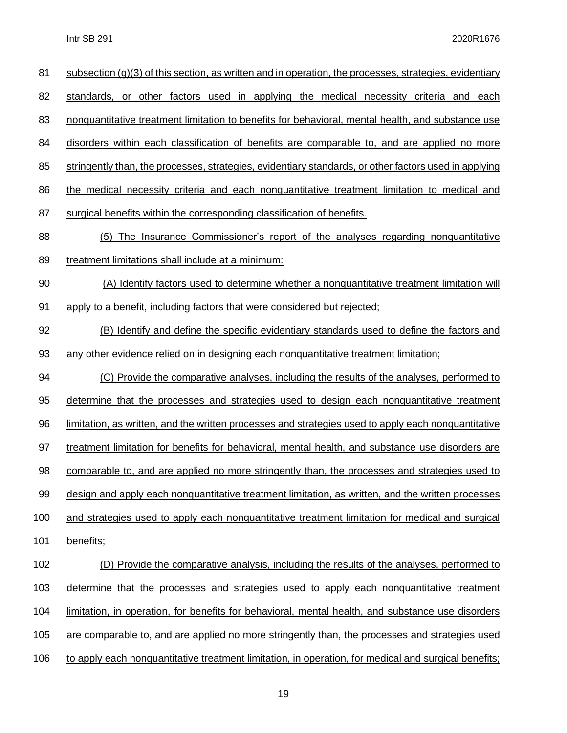| 81  | subsection $(g)(3)$ of this section, as written and in operation, the processes, strategies, evidentiary |
|-----|----------------------------------------------------------------------------------------------------------|
| 82  | standards, or other factors used in applying the medical necessity criteria and each                     |
| 83  | nonquantitative treatment limitation to benefits for behavioral, mental health, and substance use        |
| 84  | disorders within each classification of benefits are comparable to, and are applied no more              |
| 85  | stringently than, the processes, strategies, evidentiary standards, or other factors used in applying    |
| 86  | the medical necessity criteria and each nonquantitative treatment limitation to medical and              |
| 87  | surgical benefits within the corresponding classification of benefits.                                   |
| 88  | (5) The Insurance Commissioner's report of the analyses regarding nonquantitative                        |
| 89  | treatment limitations shall include at a minimum:                                                        |
| 90  | (A) Identify factors used to determine whether a nonquantitative treatment limitation will               |
| 91  | apply to a benefit, including factors that were considered but rejected;                                 |
| 92  | (B) Identify and define the specific evidentiary standards used to define the factors and                |
| 93  | any other evidence relied on in designing each nonquantitative treatment limitation;                     |
| 94  | (C) Provide the comparative analyses, including the results of the analyses, performed to                |
| 95  | determine that the processes and strategies used to design each nonquantitative treatment                |
| 96  | limitation, as written, and the written processes and strategies used to apply each nonquantitative      |
| 97  | treatment limitation for benefits for behavioral, mental health, and substance use disorders are         |
| 98  | comparable to, and are applied no more stringently than, the processes and strategies used to            |
| 99  | design and apply each nonquantitative treatment limitation, as written, and the written processes        |
| 100 | and strategies used to apply each nonquantitative treatment limitation for medical and surgical          |
| 101 | benefits;                                                                                                |
| 102 | (D) Provide the comparative analysis, including the results of the analyses, performed to                |
| 103 | determine that the processes and strategies used to apply each nonquantitative treatment                 |
| 104 | limitation, in operation, for benefits for behavioral, mental health, and substance use disorders        |
| 105 | are comparable to, and are applied no more stringently than, the processes and strategies used           |
| 106 | to apply each nonquantitative treatment limitation, in operation, for medical and surgical benefits;     |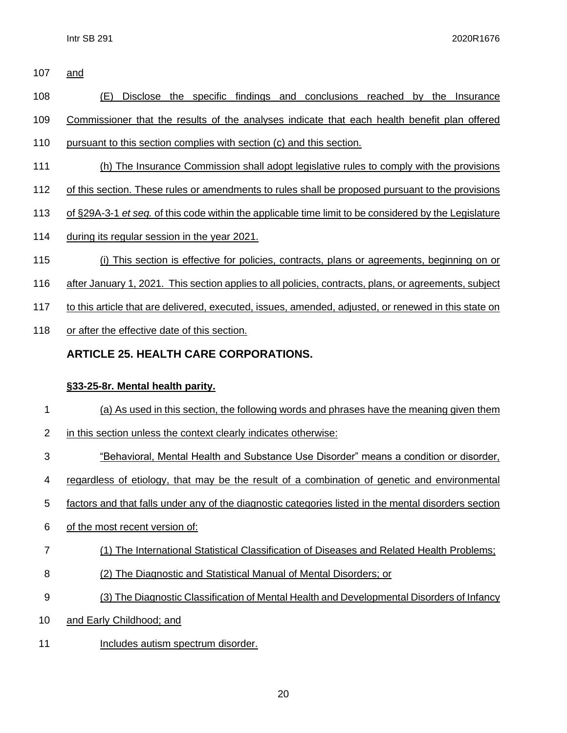and

(E) Disclose the specific findings and conclusions reached by the Insurance

Commissioner that the results of the analyses indicate that each health benefit plan offered

- pursuant to this section complies with section (c) and this section.
- (h) The Insurance Commission shall adopt legislative rules to comply with the provisions
- of this section. These rules or amendments to rules shall be proposed pursuant to the provisions
- of §29A-3-1 *et seq.* of this code within the applicable time limit to be considered by the Legislature
- during its regular session in the year 2021.
- (i) This section is effective for policies, contracts, plans or agreements, beginning on or
- after January 1, 2021. This section applies to all policies, contracts, plans, or agreements, subject
- to this article that are delivered, executed, issues, amended, adjusted, or renewed in this state on
- 118 or after the effective date of this section.

### **ARTICLE 25. HEALTH CARE [CORPORATIONS.](http://code.wvlegislature.gov/33-25/)**

#### **§33-25-8r. Mental health parity.**

- (a) As used in this section, the following words and phrases have the meaning given them
- in this section unless the context clearly indicates otherwise:
- "Behavioral, Mental Health and Substance Use Disorder" means a condition or disorder,
- regardless of etiology, that may be the result of a combination of genetic and environmental
- factors and that falls under any of the diagnostic categories listed in the mental disorders section
- of the most recent version of:
- (1) The International Statistical Classification of Diseases and Related Health Problems;
- (2) The Diagnostic and Statistical Manual of Mental Disorders; or
- (3) The Diagnostic Classification of Mental Health and Developmental Disorders of Infancy
- 10 and Early Childhood; and
- 11 Includes autism spectrum disorder.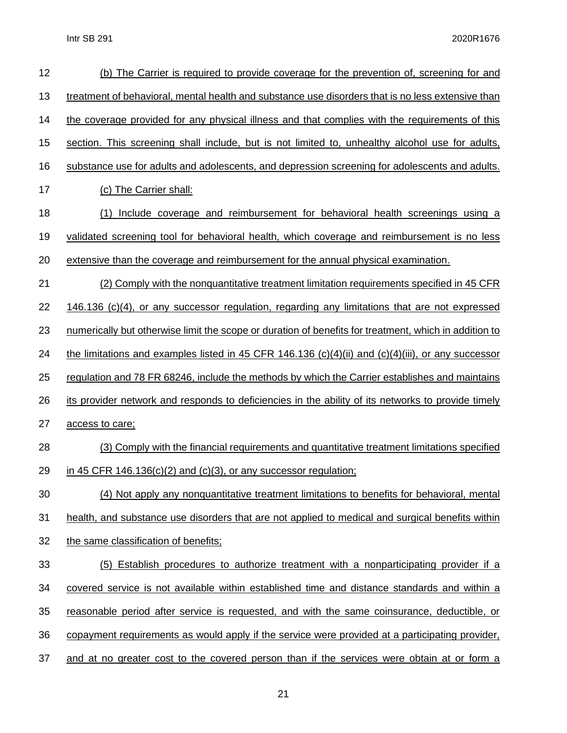| 12 | (b) The Carrier is required to provide coverage for the prevention of, screening for and                  |
|----|-----------------------------------------------------------------------------------------------------------|
| 13 | treatment of behavioral, mental health and substance use disorders that is no less extensive than         |
| 14 | the coverage provided for any physical illness and that complies with the requirements of this            |
| 15 | section. This screening shall include, but is not limited to, unhealthy alcohol use for adults,           |
| 16 | substance use for adults and adolescents, and depression screening for adolescents and adults.            |
| 17 | (c) The Carrier shall:                                                                                    |
| 18 | Include coverage and reimbursement for behavioral health screenings using a<br>(1)                        |
| 19 | validated screening tool for behavioral health, which coverage and reimbursement is no less               |
| 20 | extensive than the coverage and reimbursement for the annual physical examination.                        |
| 21 | (2) Comply with the nonquantitative treatment limitation requirements specified in 45 CFR                 |
| 22 | 146.136 (c)(4), or any successor regulation, regarding any limitations that are not expressed             |
| 23 | numerically but otherwise limit the scope or duration of benefits for treatment, which in addition to     |
| 24 | <u>the limitations and examples listed in 45 CFR 146.136 (c)(4)(ii) and (c)(4)(iii), or any successor</u> |
| 25 | regulation and 78 FR 68246, include the methods by which the Carrier establishes and maintains            |
| 26 | its provider network and responds to deficiencies in the ability of its networks to provide timely        |
| 27 | access to care;                                                                                           |
| 28 | (3) Comply with the financial requirements and quantitative treatment limitations specified               |
| 29 | in 45 CFR $146.136(c)(2)$ and $(c)(3)$ , or any successor regulation;                                     |
| 30 | (4) Not apply any nonquantitative treatment limitations to benefits for behavioral, mental                |
| 31 | health, and substance use disorders that are not applied to medical and surgical benefits within          |
| 32 | the same classification of benefits;                                                                      |
| 33 | (5) Establish procedures to authorize treatment with a nonparticipating provider if a                     |
| 34 | covered service is not available within established time and distance standards and within a              |
| 35 | reasonable period after service is requested, and with the same coinsurance, deductible, or               |
| 36 | copayment requirements as would apply if the service were provided at a participating provider,           |
| 37 | and at no greater cost to the covered person than if the services were obtain at or form a                |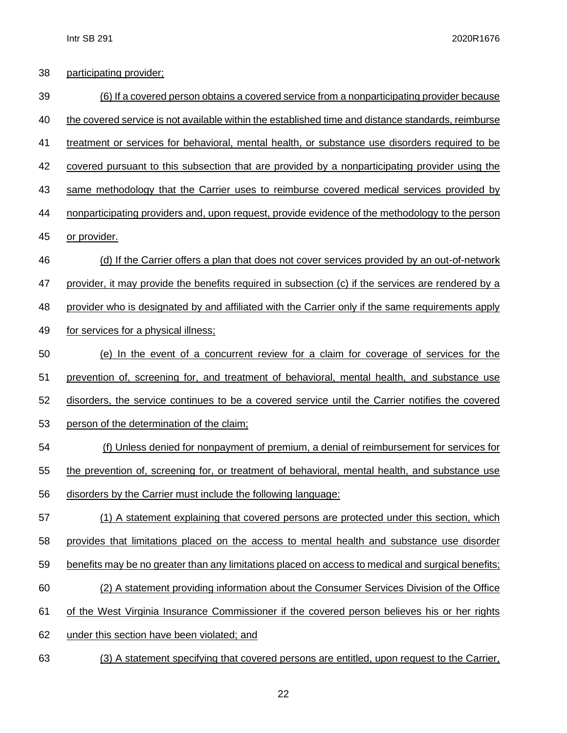| 38 | participating provider;                                                                            |
|----|----------------------------------------------------------------------------------------------------|
| 39 | (6) If a covered person obtains a covered service from a nonparticipating provider because         |
| 40 | the covered service is not available within the established time and distance standards, reimburse |
| 41 | treatment or services for behavioral, mental health, or substance use disorders required to be     |
| 42 | covered pursuant to this subsection that are provided by a nonparticipating provider using the     |
| 43 | same methodology that the Carrier uses to reimburse covered medical services provided by           |
| 44 | nonparticipating providers and, upon request, provide evidence of the methodology to the person    |
| 45 | or provider.                                                                                       |
| 46 | (d) If the Carrier offers a plan that does not cover services provided by an out-of-network        |
| 47 | provider, it may provide the benefits required in subsection (c) if the services are rendered by a |
| 48 | provider who is designated by and affiliated with the Carrier only if the same requirements apply  |
| 49 | for services for a physical illness;                                                               |
| 50 | (e) In the event of a concurrent review for a claim for coverage of services for the               |
| 51 | prevention of, screening for, and treatment of behavioral, mental health, and substance use        |
| 52 | disorders, the service continues to be a covered service until the Carrier notifies the covered    |
| 53 | person of the determination of the claim;                                                          |
| 54 | (f) Unless denied for nonpayment of premium, a denial of reimbursement for services for            |
| 55 | the prevention of, screening for, or treatment of behavioral, mental health, and substance use     |
| 56 | disorders by the Carrier must include the following language:                                      |
| 57 | (1) A statement explaining that covered persons are protected under this section, which            |
| 58 | provides that limitations placed on the access to mental health and substance use disorder         |
| 59 | benefits may be no greater than any limitations placed on access to medical and surgical benefits; |
| 60 | (2) A statement providing information about the Consumer Services Division of the Office           |
| 61 | of the West Virginia Insurance Commissioner if the covered person believes his or her rights       |
| 62 | under this section have been violated; and                                                         |
| 63 | (3) A statement specifying that covered persons are entitled, upon request to the Carrier,         |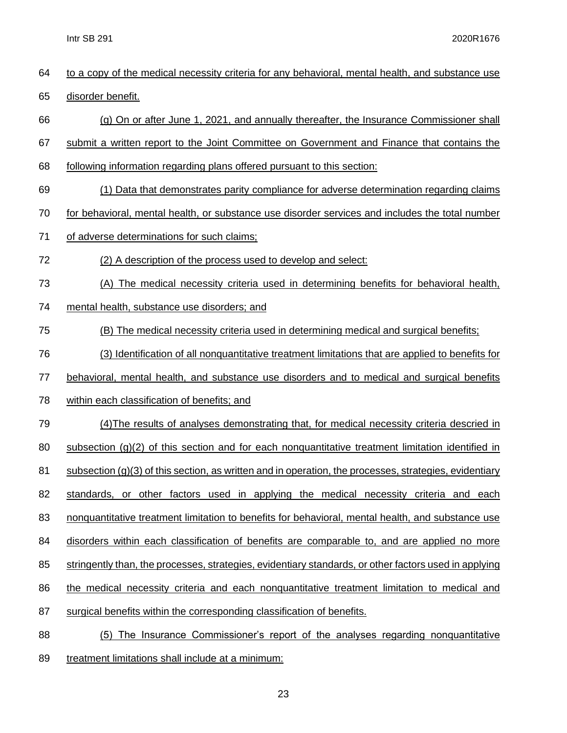|    | Intr SB 291<br>2020R1676                                                                                 |
|----|----------------------------------------------------------------------------------------------------------|
| 64 | to a copy of the medical necessity criteria for any behavioral, mental health, and substance use         |
| 65 | disorder benefit.                                                                                        |
| 66 | (g) On or after June 1, 2021, and annually thereafter, the Insurance Commissioner shall                  |
| 67 | submit a written report to the Joint Committee on Government and Finance that contains the               |
| 68 | following information regarding plans offered pursuant to this section:                                  |
| 69 | (1) Data that demonstrates parity compliance for adverse determination regarding claims                  |
| 70 | for behavioral, mental health, or substance use disorder services and includes the total number          |
| 71 | of adverse determinations for such claims;                                                               |
| 72 | (2) A description of the process used to develop and select:                                             |
| 73 | (A) The medical necessity criteria used in determining benefits for behavioral health,                   |
| 74 | mental health, substance use disorders; and                                                              |
| 75 | (B) The medical necessity criteria used in determining medical and surgical benefits;                    |
| 76 | (3) Identification of all nonquantitative treatment limitations that are applied to benefits for         |
| 77 | behavioral, mental health, and substance use disorders and to medical and surgical benefits              |
| 78 | within each classification of benefits; and                                                              |
| 79 | (4) The results of analyses demonstrating that, for medical necessity criteria descried in               |
| 80 | subsection $(q)(2)$ of this section and for each nonguantitative treatment limitation identified in      |
| 81 | subsection $(g)(3)$ of this section, as written and in operation, the processes, strategies, evidentiary |
| 82 | standards, or other factors used in applying the medical necessity criteria and each                     |
| 83 | nonquantitative treatment limitation to benefits for behavioral, mental health, and substance use        |
| 84 | disorders within each classification of benefits are comparable to, and are applied no more              |
| 85 | stringently than, the processes, strategies, evidentiary standards, or other factors used in applying    |
| 86 | the medical necessity criteria and each nonquantitative treatment limitation to medical and              |
| 87 | surgical benefits within the corresponding classification of benefits.                                   |
| 88 | (5) The Insurance Commissioner's report of the analyses regarding nonquantitative                        |

89 treatment limitations shall include at a minimum: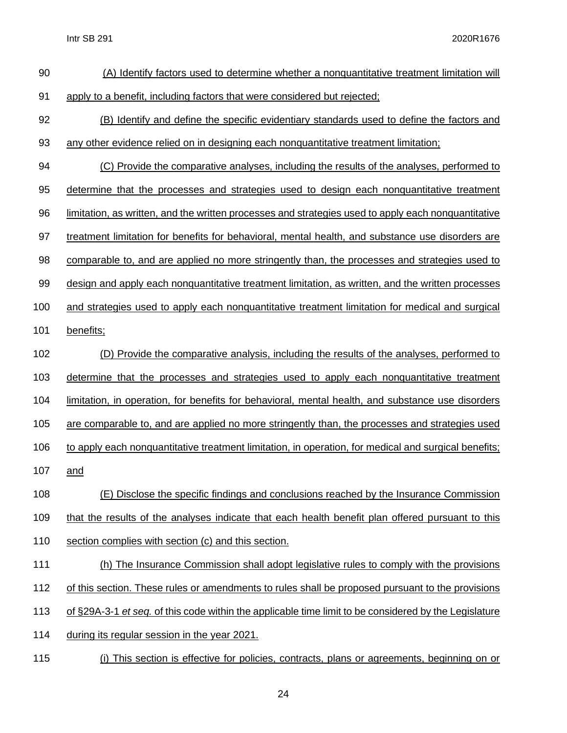| 90  | (A) Identify factors used to determine whether a nonquantitative treatment limitation will            |
|-----|-------------------------------------------------------------------------------------------------------|
| 91  | apply to a benefit, including factors that were considered but rejected;                              |
| 92  | (B) Identify and define the specific evidentiary standards used to define the factors and             |
| 93  | any other evidence relied on in designing each nonquantitative treatment limitation;                  |
| 94  | (C) Provide the comparative analyses, including the results of the analyses, performed to             |
| 95  | determine that the processes and strategies used to design each nonquantitative treatment             |
| 96  | limitation, as written, and the written processes and strategies used to apply each nonquantitative   |
| 97  | treatment limitation for benefits for behavioral, mental health, and substance use disorders are      |
| 98  | comparable to, and are applied no more stringently than, the processes and strategies used to         |
| 99  | design and apply each nonquantitative treatment limitation, as written, and the written processes     |
| 100 | and strategies used to apply each nonquantitative treatment limitation for medical and surgical       |
| 101 | benefits;                                                                                             |
| 102 | (D) Provide the comparative analysis, including the results of the analyses, performed to             |
| 103 | determine that the processes and strategies used to apply each nonquantitative treatment              |
| 104 | limitation, in operation, for benefits for behavioral, mental health, and substance use disorders     |
| 105 | are comparable to, and are applied no more stringently than, the processes and strategies used        |
| 106 | to apply each nonquantitative treatment limitation, in operation, for medical and surgical benefits;  |
| 107 | and                                                                                                   |
| 108 | (E) Disclose the specific findings and conclusions reached by the Insurance Commission                |
| 109 | that the results of the analyses indicate that each health benefit plan offered pursuant to this      |
| 110 | section complies with section (c) and this section.                                                   |
| 111 | (h) The Insurance Commission shall adopt legislative rules to comply with the provisions              |
| 112 | of this section. These rules or amendments to rules shall be proposed pursuant to the provisions      |
| 113 | of §29A-3-1 et seq. of this code within the applicable time limit to be considered by the Legislature |
| 114 | during its regular session in the year 2021.                                                          |
| 115 | This section is effective for policies, contracts, plans or agreements, beginning on or               |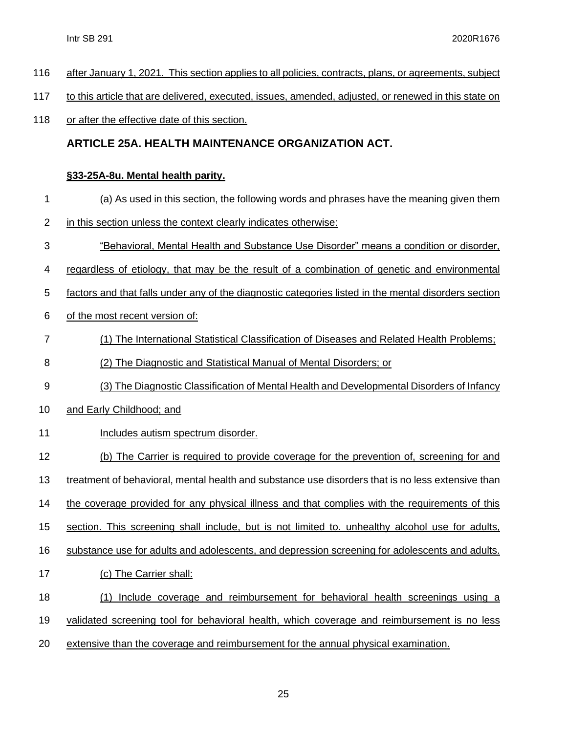- after January 1, 2021. This section applies to all policies, contracts, plans, or agreements, subject
- 117 to this article that are delivered, executed, issues, amended, adjusted, or renewed in this state on
- 118 or after the effective date of this section.

#### **ARTICLE 25A. HEALTH MAINTENANCE [ORGANIZATION](http://code.wvlegislature.gov/33-25A/) ACT.**

#### **§33-25A-8u. Mental health parity.**

- (a) As used in this section, the following words and phrases have the meaning given them
- in this section unless the context clearly indicates otherwise:
- "Behavioral, Mental Health and Substance Use Disorder" means a condition or disorder,
- regardless of etiology, that may be the result of a combination of genetic and environmental
- factors and that falls under any of the diagnostic categories listed in the mental disorders section
- of the most recent version of:
- (1) The International Statistical Classification of Diseases and Related Health Problems;
- (2) The Diagnostic and Statistical Manual of Mental Disorders; or
- (3) The Diagnostic Classification of Mental Health and Developmental Disorders of Infancy
- and Early Childhood; and
- 11 Includes autism spectrum disorder.
- (b) The Carrier is required to provide coverage for the prevention of, screening for and
- treatment of behavioral, mental health and substance use disorders that is no less extensive than
- 14 the coverage provided for any physical illness and that complies with the requirements of this
- section. This screening shall include, but is not limited to. unhealthy alcohol use for adults,
- substance use for adults and adolescents, and depression screening for adolescents and adults.
- (c) The Carrier shall:
- (1) Include coverage and reimbursement for behavioral health screenings using a
- validated screening tool for behavioral health, which coverage and reimbursement is no less
- extensive than the coverage and reimbursement for the annual physical examination.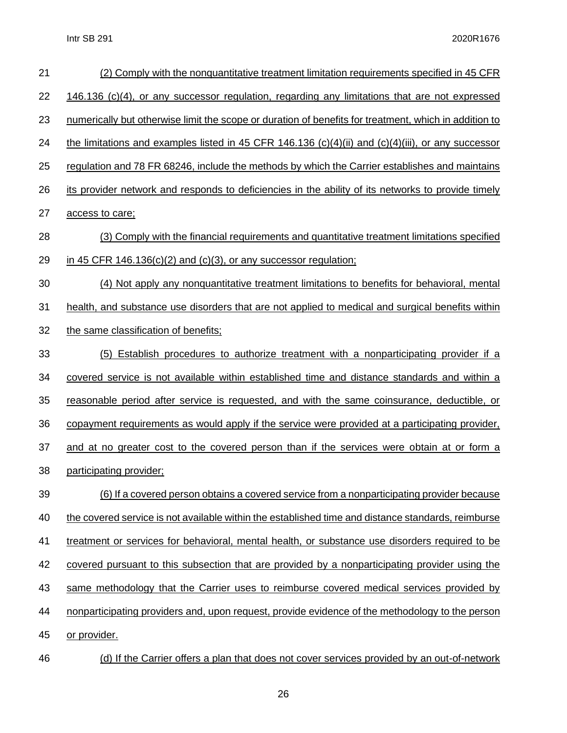| 21 | (2) Comply with the nonquantitative treatment limitation requirements specified in 45 CFR             |
|----|-------------------------------------------------------------------------------------------------------|
| 22 | 146.136 (c)(4), or any successor regulation, regarding any limitations that are not expressed         |
| 23 | numerically but otherwise limit the scope or duration of benefits for treatment, which in addition to |
| 24 | the limitations and examples listed in 45 CFR 146.136 (c)(4)(ii) and (c)(4)(iii), or any successor    |
| 25 | regulation and 78 FR 68246, include the methods by which the Carrier establishes and maintains        |
| 26 | its provider network and responds to deficiencies in the ability of its networks to provide timely    |
| 27 | access to care;                                                                                       |
| 28 | (3) Comply with the financial requirements and quantitative treatment limitations specified           |
| 29 | in 45 CFR 146.136(c)(2) and (c)(3), or any successor regulation;                                      |
| 30 | (4) Not apply any nonquantitative treatment limitations to benefits for behavioral, mental            |
| 31 | health, and substance use disorders that are not applied to medical and surgical benefits within      |
| 32 | the same classification of benefits;                                                                  |
| 33 | (5) Establish procedures to authorize treatment with a nonparticipating provider if a                 |
| 34 | covered service is not available within established time and distance standards and within a          |
| 35 | reasonable period after service is requested, and with the same coinsurance, deductible, or           |
| 36 | copayment requirements as would apply if the service were provided at a participating provider,       |
| 37 | and at no greater cost to the covered person than if the services were obtain at or form a            |
| 38 | participating provider;                                                                               |
| 39 | <u>(6) If a covered person obtains a covered service from a nonparticipating provider because</u>     |
| 40 | the covered service is not available within the established time and distance standards, reimburse    |
| 41 | treatment or services for behavioral, mental health, or substance use disorders required to be        |
| 42 | covered pursuant to this subsection that are provided by a nonparticipating provider using the        |
| 43 | same methodology that the Carrier uses to reimburse covered medical services provided by              |
| 44 | nonparticipating providers and, upon request, provide evidence of the methodology to the person       |
| 45 | or provider.                                                                                          |
| 46 | (d) If the Carrier offers a plan that does not cover services provided by an out-of-network           |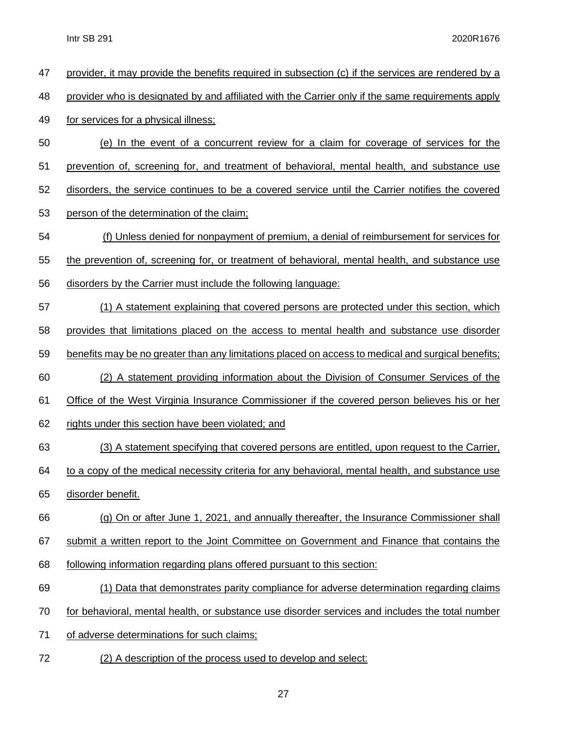| 47 | provider, it may provide the benefits required in subsection (c) if the services are rendered by a |
|----|----------------------------------------------------------------------------------------------------|
| 48 | provider who is designated by and affiliated with the Carrier only if the same requirements apply  |
| 49 | for services for a physical illness;                                                               |
| 50 | (e) In the event of a concurrent review for a claim for coverage of services for the               |
| 51 | prevention of, screening for, and treatment of behavioral, mental health, and substance use        |
| 52 | disorders, the service continues to be a covered service until the Carrier notifies the covered    |
| 53 | person of the determination of the claim;                                                          |
| 54 | <u>(f) Unless denied for nonpayment of premium, a denial of reimbursement for services for</u>     |
| 55 | the prevention of, screening for, or treatment of behavioral, mental health, and substance use     |
| 56 | disorders by the Carrier must include the following language:                                      |
| 57 | (1) A statement explaining that covered persons are protected under this section, which            |
| 58 | provides that limitations placed on the access to mental health and substance use disorder         |
| 59 | benefits may be no greater than any limitations placed on access to medical and surgical benefits; |
| 60 | (2) A statement providing information about the Division of Consumer Services of the               |
| 61 | Office of the West Virginia Insurance Commissioner if the covered person believes his or her       |
| 62 | rights under this section have been violated; and                                                  |
| 63 | (3) A statement specifying that covered persons are entitled, upon request to the Carrier,         |
| 64 | to a copy of the medical necessity criteria for any behavioral, mental health, and substance use   |
| 65 | disorder benefit.                                                                                  |
| 66 | (g) On or after June 1, 2021, and annually thereafter, the Insurance Commissioner shall            |
| 67 | submit a written report to the Joint Committee on Government and Finance that contains the         |
| 68 | following information regarding plans offered pursuant to this section:                            |
| 69 | (1) Data that demonstrates parity compliance for adverse determination regarding claims            |
| 70 | for behavioral, mental health, or substance use disorder services and includes the total number    |
| 71 | of adverse determinations for such claims;                                                         |
| 72 | (2) A description of the process used to develop and select:                                       |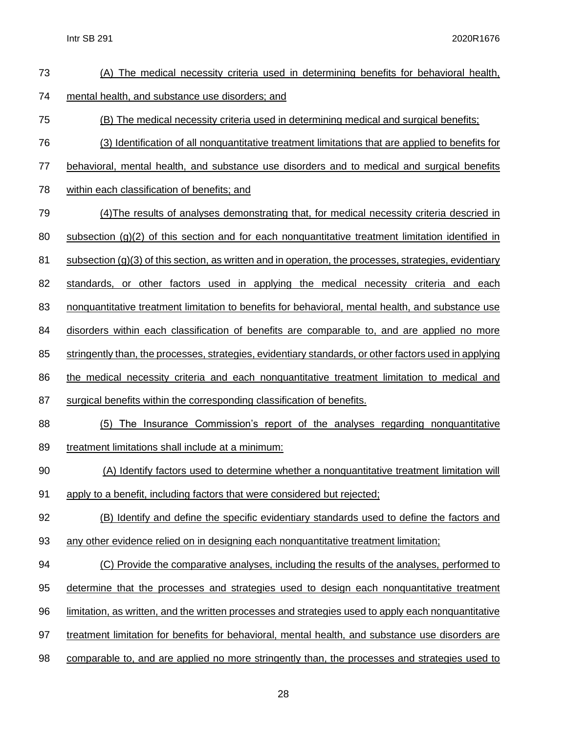| (A) The medical necessity criteria used in determining benefits for behavioral health,                   |
|----------------------------------------------------------------------------------------------------------|
| mental health, and substance use disorders; and                                                          |
| (B) The medical necessity criteria used in determining medical and surgical benefits;                    |
| (3) Identification of all nonquantitative treatment limitations that are applied to benefits for         |
| behavioral, mental health, and substance use disorders and to medical and surgical benefits              |
| within each classification of benefits; and                                                              |
| (4) The results of analyses demonstrating that, for medical necessity criteria descried in               |
| $subsection (g)(2)$ of this section and for each nonquantitative treatment limitation identified in      |
| subsection $(g)(3)$ of this section, as written and in operation, the processes, strategies, evidentiary |
| standards, or other factors used in applying the medical necessity criteria and each                     |
| nonquantitative treatment limitation to benefits for behavioral, mental health, and substance use        |
| disorders within each classification of benefits are comparable to, and are applied no more              |
| stringently than, the processes, strategies, evidentiary standards, or other factors used in applying    |
| the medical necessity criteria and each nonquantitative treatment limitation to medical and              |
| surgical benefits within the corresponding classification of benefits.                                   |
| The Insurance Commission's report of the analyses regarding nonquantitative<br>(5)                       |
| treatment limitations shall include at a minimum:                                                        |
| (A) Identify factors used to determine whether a nonquantitative treatment limitation will               |
| apply to a benefit, including factors that were considered but rejected;                                 |
| (B) Identify and define the specific evidentiary standards used to define the factors and                |
| any other evidence relied on in designing each nonquantitative treatment limitation;                     |
| (C) Provide the comparative analyses, including the results of the analyses, performed to                |
| determine that the processes and strategies used to design each nonquantitative treatment                |
|                                                                                                          |
| limitation, as written, and the written processes and strategies used to apply each nonquantitative      |
| treatment limitation for benefits for behavioral, mental health, and substance use disorders are         |
|                                                                                                          |